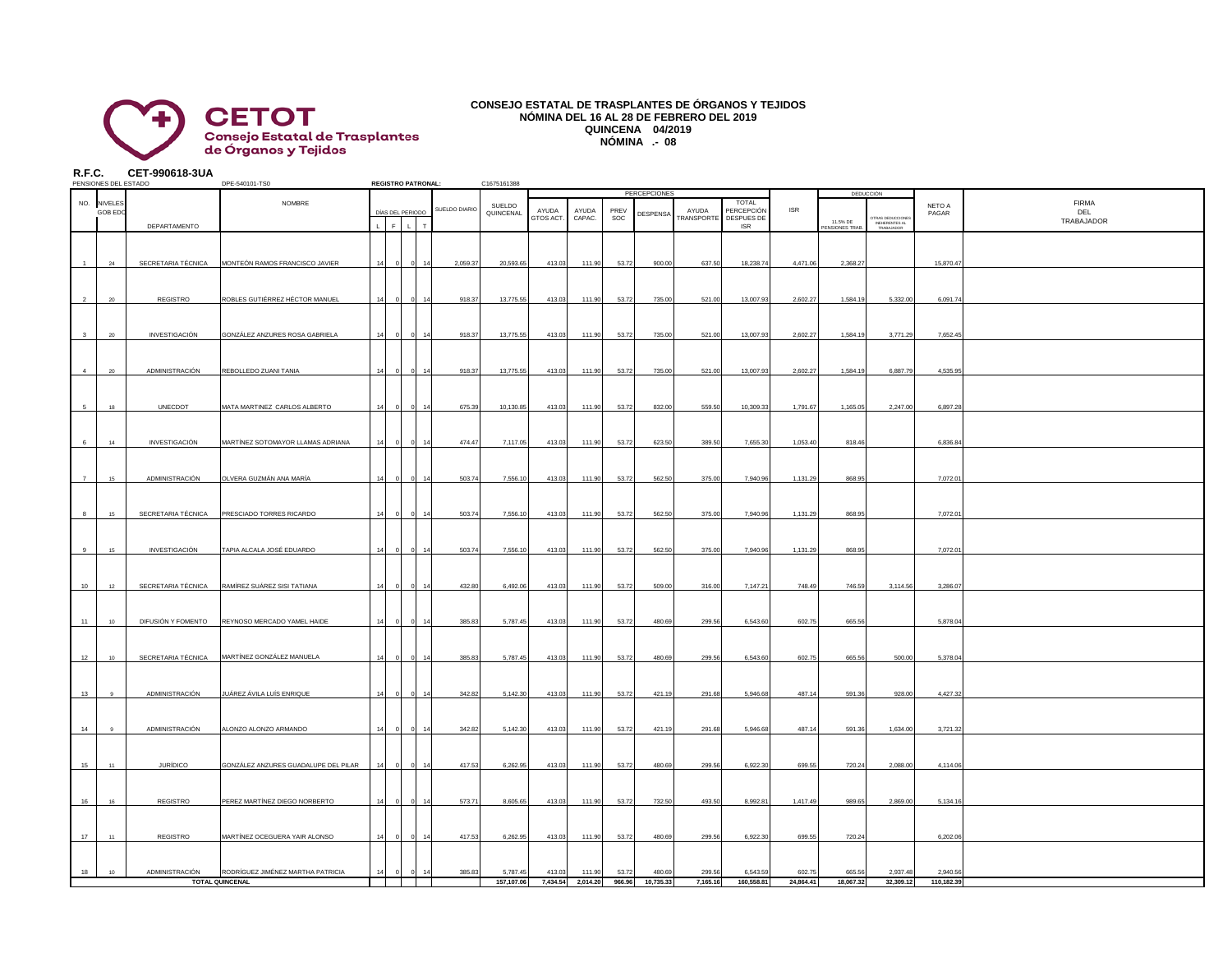

## **CONSEJO ESTATAL DE TRASPLANTES DE ÓRGANOS Y TEJIDOS NÓMINA DEL 16 AL 28 DE FEBRERO DEL 2019 QUINCENA 04/2019 NÓMINA .- 08**

**R.F.C. CET-990618-3UA**

|                         | PENSIONES DEL ESTADO   |                      | DPE-540101-TS0                       |    |                  |              | <b>REGISTRO PATRONAL:</b> | C1675161388         |                    |                   |             |                                 |                           |                                          |            |                     |                                                 |                 |                                   |
|-------------------------|------------------------|----------------------|--------------------------------------|----|------------------|--------------|---------------------------|---------------------|--------------------|-------------------|-------------|---------------------------------|---------------------------|------------------------------------------|------------|---------------------|-------------------------------------------------|-----------------|-----------------------------------|
|                         | NO. NIVELES<br>GOB EDC |                      | <b>NOMBRE</b>                        |    | DÍAS DEL PERIODO |              | SUELDO DIARIO             | SUELDO<br>QUINCENAL | AYUDA<br>GTOS ACT. | AYUDA<br>CAPAC.   | PREV<br>SOC | <b>PERCEPCIONES</b><br>DESPENSA | AYUDA<br><b>RANSPORTE</b> | TOTAL<br><b>PERCEPCIÓN</b><br>DESPUES DE | <b>ISR</b> | 11.5% DE            | <b>DEDUCCIÓN</b>                                | NETO A<br>PAGAR | <b>FIRMA</b><br>DEL<br>TRABAJADOR |
|                         |                        | DEPARTAMENTO         |                                      |    | $\epsilon$       | $\mathbf{L}$ | $\tau$                    |                     |                    |                   |             |                                 |                           | <b>ISR</b>                               |            | <b>ENSIONES TRA</b> | TRAS DEDUCCIONE<br>INEHERENTES AL<br>TRABAJADOR |                 |                                   |
|                         | 24                     | SECRETARIA TÉCNICA   | MONTEÓN RAMOS FRANCISCO JAVIER       |    |                  |              | 2,059.37                  | 20,593.65           | 413.03             | 111.90            | 53.72       | 900.00                          | 637.50                    | 18,238.74                                | 4,471.06   | 2,368.27            |                                                 | 15,870.47       |                                   |
|                         |                        |                      |                                      |    |                  |              |                           |                     |                    |                   |             |                                 |                           |                                          |            |                     |                                                 |                 |                                   |
|                         | $20 -$                 | REGISTRO             | ROBLES GUTIÉRREZ HÉCTOR MANUEL       | 14 |                  |              | 918.37                    | 13,775.55           | 413.03             | 111.90            | 53.72       | 735.00                          | 521.00                    | 13,007.93                                | 2,602.27   | 1,584.19            | 5,332.00                                        | 6,091.74        |                                   |
| $\overline{\mathbf{3}}$ | $20\degree$            | INVESTIGACIÓN        | GONZÁLEZ ANZURES ROSA GABRIELA       | 14 |                  |              | 918.37<br>14              | 13,775.55           | 413.03             | 111.90            | 53.72       | 735.00                          | 521.00                    | 13,007.93                                | 2,602.27   | 1,584.1             | 3,771.29                                        | 7,652.45        |                                   |
| $\overline{4}$          | 20                     | ADMINISTRACIÓN       | REBOLLEDO ZUANI TANIA                |    |                  |              | 918.37                    | 13,775.55           | 413.03             | 111.90            | 53.72       | 735.00                          | 521.00                    | 13,007.93                                | 2,602.27   | 1,584.19            | 6,887.79                                        | 4,535.95        |                                   |
|                         |                        |                      |                                      |    |                  |              |                           |                     |                    |                   |             |                                 |                           |                                          |            |                     |                                                 |                 |                                   |
| 5                       | 18                     | <b>UNECDOT</b>       | MATA MARTINEZ CARLOS ALBERTO         |    |                  |              | 675.39                    | 10,130.85           | 413.03             | 111.90            | 53.72       | 832.00                          | 559.50                    | 10,309.33                                | 1,791.67   | 1,165.05            | 2,247.00                                        | 6,897.28        |                                   |
| -6                      | 14                     | <b>INVESTIGACIÓN</b> | MARTÍNEZ SOTOMAYOR LLAMAS ADRIANA    |    |                  |              | 474.47                    | 7,117.05            | 413.03             | 111.90            | 53.72       | 623.50                          | 389.50                    | 7,655.30                                 | 1,053.40   | 818.46              |                                                 | 6,836.84        |                                   |
| $\overline{7}$          | 15                     | ADMINISTRACIÓN       | OLVERA GUZMÁN ANA MARÍA              |    |                  |              | 503.74                    | 7,556.10            | 413.03             | 111.90            | 53.72       | 562.50                          | 375.00                    | 7,940.96                                 | 1,131.29   | 868.95              |                                                 | 7,072.0         |                                   |
| $\mathbf{a}$            | 15                     | SECRETARIA TÉCNICA   | PRESCIADO TORRES RICARDO             |    |                  |              | 503.74                    | 7,556.10            | 413.03             | 111.90            | 53.72       | 562.50                          | 375.00                    | 7,940.96                                 | 1,131.29   | 868.95              |                                                 | 7,072.0         |                                   |
|                         |                        |                      |                                      |    |                  |              |                           |                     |                    |                   |             |                                 |                           |                                          |            |                     |                                                 |                 |                                   |
| 9                       | 15                     | INVESTIGACIÓN        | TAPIA ALCALA JOSÉ EDUARDO            |    |                  |              | 503.74                    | 7,556.10            | 413.03             | 111.90            | 53.72       | 562.50                          | 375.00                    | 7,940.96                                 | 1,131.29   | 868.95              |                                                 | 7,072.0         |                                   |
| 10                      | 12                     | SECRETARIA TÉCNICA   | RAMÍREZ SUÁREZ SISI TATIANA          |    |                  |              | 432.80                    | 6,492.06            | 413.03             | 111.90            | 53.72       | 509.00                          | 316.00                    | 7,147.21                                 | 748.49     | 746.59              | 3,114.56                                        | 3,286.07        |                                   |
| 11                      | 10                     | DIFUSIÓN Y FOMENTO   | REYNOSO MERCADO YAMEL HAIDE          |    |                  |              | 385.83                    | 5,787.45            | 413.03             | 111.90            | 53.72       | 480.69                          | 299.56                    | 6,543.60                                 | 602.75     | 665.5               |                                                 | 5,878.0         |                                   |
|                         |                        |                      | MARTÍNEZ GONZÁLEZ MANUELA            |    |                  |              |                           |                     |                    |                   |             |                                 |                           |                                          |            |                     |                                                 |                 |                                   |
| 12                      | 10                     | SECRETARIA TÉCNICA   |                                      |    |                  |              | 385.83                    | 5,787.45            | 413.03             | 111.90            | 53.72       | 480.69                          | 299.56                    | 6,543.60                                 | 602.75     | 665.56              | 500.00                                          | 5,378.04        |                                   |
| 13                      |                        | ADMINISTRACIÓN       | JUÁREZ ÁVILA LUÍS ENRIQUE            |    |                  |              | 342.82                    | 5,142.30            | 413.03             | 111.90            | 53.72       | 421.19                          | 291.68                    | 5,946.68                                 | 487.14     | 591.36              | 928.00                                          | 4,427.32        |                                   |
| 14                      | $\mathbf{Q}$           | ADMINISTRACIÓN       | ALONZO ALONZO ARMANDO                | 14 |                  | $\Omega$     | 342.82<br>14              | 5,142.30            | 413.03             | 111.90            | 53.72       | 421.19                          | 291.68                    | 5,946.68                                 | 487.14     | 591.36              | 1,634.00                                        | 3,721.32        |                                   |
| 15                      | 11                     | <b>JURÍDICO</b>      | GONZÁLEZ ANZURES GUADALUPE DEL PILAR |    |                  |              | 417.53                    | 6,262.95            | 413.03             | 111.90            | 53.72       | 480.69                          | 299.56                    | 6,922.30                                 | 699.55     | 720.24              | 2,088.00                                        | 4,114.06        |                                   |
|                         |                        |                      |                                      |    |                  |              |                           |                     |                    |                   |             |                                 |                           |                                          |            |                     |                                                 |                 |                                   |
| 16                      | 16                     | REGISTRO             | PEREZ MARTÍNEZ DIEGO NORBERTO        |    |                  |              | 573.71                    | 8,605.65            | 413.03             | 111.90            | 53.72       | 732.50                          | 493.50                    | 8,992.81                                 | 1,417.49   | 989.65              | 2,869.00                                        | 5,134.16        |                                   |
| 17                      | 11                     | REGISTRO             | MARTÍNEZ OCEGUERA YAIR ALONSO        |    |                  |              | 417.53                    | 6,262.95            | 413.03             | 111.90            | 53.72       | 480.69                          | 299.56                    | 6,922.30                                 | 699.55     | 720.24              |                                                 | 6,202.06        |                                   |
| 18                      | 10                     | ADMINISTRACIÓN       | RODRÍGUEZ JIMÉNEZ MARTHA PATRICIA    | 14 |                  |              | 385.83                    | 5,787.45            | 413.03             | 111.90            | 53.72       | 480.69                          | 299.56                    | 6,543.59                                 | 602.75     | 665.56              | 2,937.48                                        | 2,940.56        |                                   |
|                         |                        |                      | <b>TOTAL QUINCENAL</b>               |    |                  |              |                           | 157.107.06          |                    | 7.434.54 2.014.20 | 966.96      | 10.735.33                       | 7.165.16                  | 160.558.81                               | 24.864.41  | 18.067.32           | 32,309.12                                       | 110.182.39      |                                   |